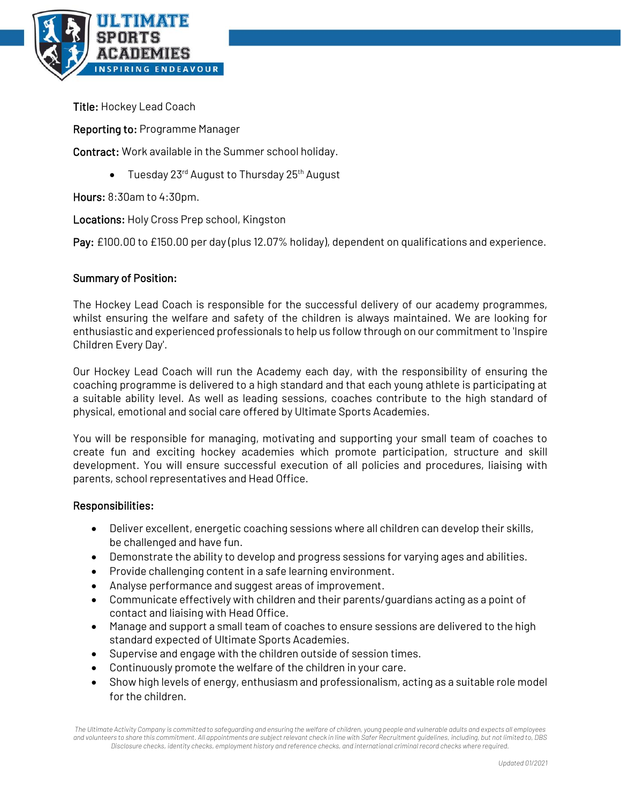

Title: Hockey Lead Coach

Reporting to: Programme Manager

Contract: Work available in the Summer school holiday.

• Tuesday 23<sup>rd</sup> August to Thursday 25<sup>th</sup> August

Hours: 8:30am to 4:30pm.

Locations: Holy Cross Prep school, Kingston

Pay: £100.00 to £150.00 per day (plus 12.07% holiday), dependent on qualifications and experience.

## Summary of Position:

The Hockey Lead Coach is responsible for the successful delivery of our academy programmes, whilst ensuring the welfare and safety of the children is always maintained. We are looking for enthusiastic and experienced professionals to help us follow through on our commitment to 'Inspire Children Every Day'.

Our Hockey Lead Coach will run the Academy each day, with the responsibility of ensuring the coaching programme is delivered to a high standard and that each young athlete is participating at a suitable ability level. As well as leading sessions, coaches contribute to the high standard of physical, emotional and social care offered by Ultimate Sports Academies.

You will be responsible for managing, motivating and supporting your small team of coaches to create fun and exciting hockey academies which promote participation, structure and skill development. You will ensure successful execution of all policies and procedures, liaising with parents, school representatives and Head Office.

## Responsibilities:

- Deliver excellent, energetic coaching sessions where all children can develop their skills, be challenged and have fun.
- Demonstrate the ability to develop and progress sessions for varying ages and abilities.
- Provide challenging content in a safe learning environment.
- Analyse performance and suggest areas of improvement.
- Communicate effectively with children and their parents/guardians acting as a point of contact and liaising with Head Office.
- Manage and support a small team of coaches to ensure sessions are delivered to the high standard expected of Ultimate Sports Academies.
- Supervise and engage with the children outside of session times.
- Continuously promote the welfare of the children in your care.
- Show high levels of energy, enthusiasm and professionalism, acting as a suitable role model for the children.

*The Ultimate Activity Company is committed to safeguarding and ensuring the welfare of children, young people and vulnerable adults and expects all employees and volunteers to share this commitment. All appointments are subject relevant check in line with Safer Recruitment guidelines, including, but not limited to, DBS Disclosure checks, identity checks, employment history and reference checks, and international criminal record checks where required.*